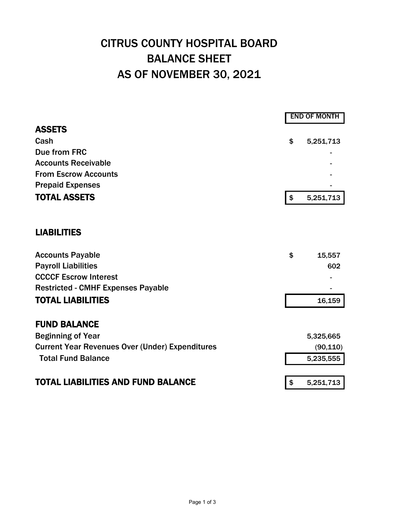## CITRUS COUNTY HOSPITAL BOARD BALANCE SHEET AS OF NOVEMBER 30, 2021

|                                                        |                   | <b>END OF MONTH</b> |  |  |
|--------------------------------------------------------|-------------------|---------------------|--|--|
| <b>ASSETS</b>                                          |                   |                     |  |  |
| Cash                                                   | \$                | 5,251,713           |  |  |
| Due from FRC                                           |                   |                     |  |  |
| <b>Accounts Receivable</b>                             |                   |                     |  |  |
| <b>From Escrow Accounts</b>                            |                   |                     |  |  |
| <b>Prepaid Expenses</b>                                |                   |                     |  |  |
| <b>TOTAL ASSETS</b>                                    | $\boldsymbol{\$}$ | 5,251,713           |  |  |
| <b>LIABILITIES</b>                                     |                   |                     |  |  |
| <b>Accounts Payable</b>                                | \$                | 15,557              |  |  |
| <b>Payroll Liabilities</b>                             |                   | 602                 |  |  |
| <b>CCCCF Escrow Interest</b>                           |                   |                     |  |  |
| <b>Restricted - CMHF Expenses Payable</b>              |                   |                     |  |  |
| <b>TOTAL LIABILITIES</b>                               |                   | 16,159              |  |  |
| <b>FUND BALANCE</b>                                    |                   |                     |  |  |
| <b>Beginning of Year</b>                               |                   | 5,325,665           |  |  |
| <b>Current Year Revenues Over (Under) Expenditures</b> |                   | (90, 110)           |  |  |
| <b>Total Fund Balance</b>                              |                   | 5,235,555           |  |  |
| <b>TOTAL LIABILITIES AND FUND BALANCE</b>              | \$                | 5,251,713           |  |  |
|                                                        |                   |                     |  |  |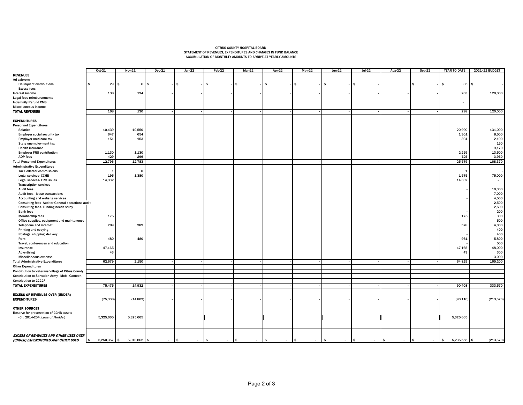## CITRUS COUNTY HOSPITAL BOARD STATEMENT OF REVENUES, EXPENDITURES AND CHANGES IN FUND BALANCE ACCUMULATION OF MONTHLTY AMOUNTS TO ARRIVE AT YEARLY AMOUNTS

|                                                         | Oct-21               | <b>Nov-21</b>  | $Dec-21$       | $Jan-22$ | Feb-22                  | $Mar-22$             | Apr-22               | $May-22$             | $Jun-22$      | $Jul-22$             | Aug-22               | $Sep-22$             | YEAR TO DATE             | 2021/22 BUDGET |
|---------------------------------------------------------|----------------------|----------------|----------------|----------|-------------------------|----------------------|----------------------|----------------------|---------------|----------------------|----------------------|----------------------|--------------------------|----------------|
| <b>REVENUES</b>                                         |                      |                |                |          |                         |                      |                      |                      |               |                      |                      |                      |                          |                |
| Ad valorem:                                             |                      |                |                |          |                         |                      |                      |                      |               |                      |                      |                      |                          |                |
| <b>Delinquent distributions</b>                         | 29                   | $\mathbf{s}$   | $6$ $\sqrt{5}$ | \$       | $\mathbf{s}$            | \$                   | <b>S</b>             | \$.                  | \$            | $$^{\circ}$          |                      | \$                   | 35                       | ŝ.             |
| <b>Excess fees</b>                                      |                      |                |                |          |                         |                      |                      |                      |               |                      |                      |                      | $\sim$                   |                |
| Interest income                                         | 138                  | 124            |                |          |                         |                      |                      |                      |               |                      |                      |                      | 263                      | 120,000        |
| Legal fees reimbursements                               |                      |                |                |          |                         |                      |                      |                      |               |                      |                      |                      | $\sim$                   |                |
| <b>Indemnity Refund CMS</b>                             |                      |                |                |          |                         |                      |                      |                      |               |                      |                      |                      | $\sim$                   |                |
| Miscellaneous income                                    |                      |                |                |          |                         |                      |                      |                      |               |                      |                      |                      |                          |                |
| <b>TOTAL REVENUES</b>                                   | 168                  | 130            |                |          |                         |                      |                      |                      |               |                      |                      |                      | 298                      | 120,000        |
|                                                         |                      |                |                |          |                         |                      |                      |                      |               |                      |                      |                      |                          |                |
| <b>EXPENDITURES</b>                                     |                      |                |                |          |                         |                      |                      |                      |               |                      |                      |                      |                          |                |
| <b>Personnel Expenditures</b>                           |                      |                |                |          |                         |                      |                      |                      |               |                      |                      |                      |                          |                |
| <b>Salaries</b>                                         | 10,439               | 10,550         |                |          |                         |                      |                      |                      |               |                      |                      |                      | 20,990                   | 131,000        |
| Employer social security tax                            | 647                  | 654            |                |          |                         |                      |                      |                      |               |                      |                      |                      | 1,301                    | 8,500          |
| Employer medicare tax                                   | 151                  | 153            |                |          |                         |                      |                      |                      |               |                      |                      |                      | 304                      | 2,100          |
| State unemployment tax                                  |                      |                |                |          |                         |                      |                      |                      |               |                      |                      |                      |                          | 150            |
| <b>Health insurance</b>                                 |                      |                |                |          |                         |                      |                      |                      |               |                      |                      |                      |                          | 9,170          |
| <b>Employer FRS contribution</b>                        | 1,130                | 1,130          |                |          |                         |                      |                      |                      |               |                      |                      |                      | 2,259                    | 13,500         |
| <b>ADP fees</b>                                         | 429                  | 296            |                |          |                         |                      |                      |                      |               |                      |                      |                      | 725                      | 3,950          |
| <b>Total Personnel Expenditures</b>                     | 12,796               | 12,783         |                |          |                         |                      |                      |                      |               |                      |                      |                      | 25,579                   | 168,370        |
| <b>Administrative Expenditures</b>                      |                      |                |                |          |                         |                      |                      |                      |               |                      |                      |                      |                          |                |
| <b>Tax Collector commissions</b>                        |                      | $\mathbf 0$    |                |          |                         |                      |                      |                      |               |                      |                      |                      | $\mathbf{1}$             |                |
| Legal services- CCHB                                    | 195                  | 1,380          |                |          |                         |                      |                      |                      |               |                      |                      |                      | 1,575                    | 75,000         |
| Legal services-FRC issues                               | 14,332               |                |                |          |                         |                      |                      |                      |               |                      |                      |                      | 14,332                   |                |
| <b>Transcription services</b>                           |                      |                |                |          |                         |                      |                      |                      |               |                      |                      |                      |                          |                |
| Audit fees                                              |                      |                |                |          |                         |                      |                      |                      |               |                      |                      |                      |                          | 10,300         |
| Audit fees - lease transactions                         |                      |                |                |          |                         |                      |                      |                      |               |                      |                      |                      |                          | 7,000          |
| Accounting and website services                         |                      |                |                |          |                         |                      |                      |                      |               |                      |                      |                      |                          | 4,500          |
| <b>Consulting fees-Auditor General operations audit</b> |                      |                |                |          |                         |                      |                      |                      |               |                      |                      |                      |                          | 2,500          |
| Consulting fees- Funding needs study                    |                      |                |                |          |                         |                      |                      |                      |               |                      |                      |                      |                          | 2,500          |
| <b>Bank fees</b>                                        |                      |                |                |          |                         |                      |                      |                      |               |                      |                      |                      |                          | 200            |
| <b>Membership fees</b>                                  | 175                  |                |                |          |                         |                      |                      |                      |               |                      |                      |                      | 175                      | 300            |
| Office supplies, equipment and maintanence              |                      |                |                |          |                         |                      |                      |                      |               |                      |                      |                      | $\sim$                   | 500            |
| Telephone and internet                                  | 289                  | 289            |                |          |                         |                      |                      |                      |               |                      |                      |                      | 578                      | 4,000          |
| Printing and copying                                    |                      |                |                |          |                         |                      |                      |                      |               |                      |                      |                      |                          | 400            |
| Postage, shipping, delivery                             |                      |                |                |          |                         |                      |                      |                      |               |                      |                      |                      |                          | 400            |
| Rent                                                    | 480                  | 480            |                |          |                         |                      |                      |                      |               |                      |                      |                      | 961                      | 5,800          |
| Travel, conferences and education                       |                      |                |                |          |                         |                      |                      |                      |               |                      |                      |                      |                          | 500            |
| Insurance                                               | 47,165               |                |                |          |                         |                      |                      |                      |               |                      |                      |                      | 47,165                   | 48,000         |
| Advertising                                             | 43                   |                |                |          |                         |                      |                      |                      |               |                      |                      |                      | 43                       | 300            |
| Miscellaneous expense                                   |                      |                |                |          |                         |                      |                      |                      |               |                      |                      |                      |                          | 3,000          |
| <b>Total Administrative Expenditures</b>                | 62,679               | 2,150          |                |          |                         |                      |                      |                      |               |                      |                      |                      | 64,829                   | 165,200        |
| <b>Other Expenditures</b>                               |                      |                |                |          |                         |                      |                      |                      |               |                      |                      |                      |                          |                |
| Contribution to Veterans Village of Citrus County       |                      |                |                |          |                         |                      |                      |                      |               |                      |                      |                      |                          |                |
| Contribution to Salvation Army - Mobil Canteen          |                      |                |                |          |                         |                      |                      |                      |               |                      |                      |                      |                          |                |
| <b>Contribution to CCCCF</b>                            |                      |                |                |          |                         |                      |                      |                      |               |                      |                      |                      |                          |                |
| <b>TOTAL EXPENDITURES</b>                               | 75,475               | 14,932         |                |          |                         |                      |                      |                      |               |                      |                      |                      | 90,408                   | 333,570        |
|                                                         |                      |                |                |          |                         |                      |                      |                      |               |                      |                      |                      |                          |                |
| <b>EXCESS OF REVENUES OVER (UNDER)</b>                  |                      |                |                |          |                         |                      |                      |                      |               |                      |                      |                      |                          |                |
| <b>EXPENDITURES</b>                                     | (75, 308)            | (14, 802)      |                |          |                         |                      |                      |                      |               |                      |                      |                      | (90, 110)                | (213,570)      |
|                                                         |                      |                |                |          |                         |                      |                      |                      |               |                      |                      |                      |                          |                |
| <b>OTHER SOURCES</b>                                    |                      |                |                |          |                         |                      |                      |                      |               |                      |                      |                      |                          |                |
| Reserve for preservation of CCHB assets                 |                      |                |                |          |                         |                      |                      |                      |               |                      |                      |                      |                          |                |
| (Ch. 2014-254, Laws of Firoida)                         | 5,325,665            | 5,325,665      |                |          |                         |                      |                      |                      |               |                      |                      |                      | 5,325,665                |                |
|                                                         |                      |                |                |          |                         |                      |                      |                      |               |                      |                      |                      |                          |                |
|                                                         |                      |                |                |          |                         |                      |                      |                      |               |                      |                      |                      |                          |                |
|                                                         |                      |                |                |          |                         |                      |                      |                      |               |                      |                      |                      |                          |                |
| <b>EXCESS OF REVENUES AND OTHER USES OVER</b>           |                      |                |                |          |                         |                      |                      |                      |               |                      |                      |                      |                          |                |
| (UNDER) EXPENDITURES AND OTHER USES                     | $5,250,357$ \$<br>\$ | $5,310,862$ \$ | $-1$ \$        | $\sim$   | $\frac{1}{2}$<br>$\sim$ | $\sqrt{ }$<br>$\sim$ | $\sqrt{ }$<br>$\sim$ | $\sqrt{3}$<br>$\sim$ | l s<br>$\sim$ | $\sqrt{3}$<br>$\sim$ | $\sqrt{2}$<br>$\sim$ | $\sqrt{2}$<br>$\sim$ | 5,235,555<br>$$^{\circ}$ | (213, 570)     |